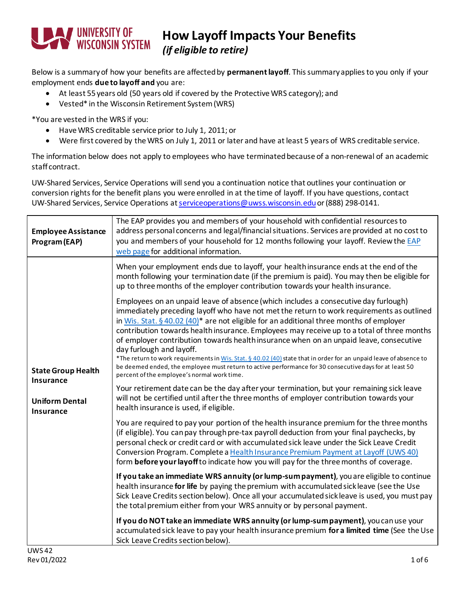

## **How Layoff Impacts Your Benefits**

*(if eligible to retire)*

Below is a summary of how your benefits are affected by **permanent layoff**. This summaryapplies to you only if your employment ends **due to layoff and** you are:

- At least 55 years old (50 years old if covered by the Protective WRS category); and
- Vested\* in the Wisconsin Retirement System (WRS)

\*You are vested in the WRS if you:

- Have WRS creditable service prior to July 1, 2011; or
- Were first covered by the WRS on July 1, 2011 or later and have at least 5 years of WRS creditable service.

The information below does not apply to employees who have terminated because of a non-renewal of an academic staff contract.

UW-Shared Services, Service Operations will send you a continuation notice that outlines your continuation or conversion rights for the benefit plans you were enrolled in at the time of layoff. If you have questions, contact UW-Shared Services, Service Operations a[t serviceoperations@uwss.wisconsin.edu](mailto:servicecenter@uwsa.edu) or (888) 298-0141.

| <b>Employee Assistance</b><br>Program (EAP)                                                          | The EAP provides you and members of your household with confidential resources to<br>address personal concerns and legal/financial situations. Services are provided at no cost to<br>you and members of your household for 12 months following your layoff. Review the EAP<br>web page for additional information.                                                                                                                                                                                                                                                                                                                                                                                                                                                                        |
|------------------------------------------------------------------------------------------------------|--------------------------------------------------------------------------------------------------------------------------------------------------------------------------------------------------------------------------------------------------------------------------------------------------------------------------------------------------------------------------------------------------------------------------------------------------------------------------------------------------------------------------------------------------------------------------------------------------------------------------------------------------------------------------------------------------------------------------------------------------------------------------------------------|
| <b>State Group Health</b><br><b>Insurance</b><br><b>Uniform Dental</b><br><b>Insurance</b><br>11M542 | When your employment ends due to layoff, your healthinsurance ends at the end of the<br>month following your termination date (if the premium is paid). You may then be eligible for<br>up to three months of the employer contribution towards your health insurance.                                                                                                                                                                                                                                                                                                                                                                                                                                                                                                                     |
|                                                                                                      | Employees on an unpaid leave of absence (which includes a consecutive day furlough)<br>immediately preceding layoff who have not met the return to work requirements as outlined<br>in Wis. Stat. § 40.02 (40) <sup>*</sup> are not eligible for an additional three months of employer<br>contribution towards health insurance. Employees may receive up to a total of three months<br>of employer contribution towards health insurance when on an unpaid leave, consecutive<br>day furlough and layoff.<br>*The return to work requirements in Wis. Stat. § 40.02 (40) state that in order for an unpaid leave of absence to<br>be deemed ended, the employee must return to active performance for 30 consecutive days for at least 50<br>percent of the employee's normal work time. |
|                                                                                                      | Your retirement date can be the day after your termination, but your remaining sick leave<br>will not be certified until after the three months of employer contribution towards your<br>health insurance is used, if eligible.                                                                                                                                                                                                                                                                                                                                                                                                                                                                                                                                                            |
|                                                                                                      | You are required to pay your portion of the health insurance premium for the three months<br>(if eligible). You can pay through pre-tax payroll deduction from your final paychecks, by<br>personal check or credit card or with accumulated sick leave under the Sick Leave Credit<br>Conversion Program. Complete a Health Insurance Premium Payment at Layoff (UWS 40)<br>form before your layoff to indicate how you will pay for the three months of coverage.                                                                                                                                                                                                                                                                                                                        |
|                                                                                                      | If you take an immediate WRS annuity (or lump-sum payment), you are eligible to continue<br>health insurance for life by paying the premium with accumulated sick leave (see the Use<br>Sick Leave Credits section below). Once all your accumulated sick leave is used, you must pay<br>the total premium either from your WRS annuity or by personal payment.                                                                                                                                                                                                                                                                                                                                                                                                                            |
|                                                                                                      | If you do NOT take an immediate WRS annuity (or lump-sum payment), you can use your<br>accumulated sick leave to pay your health insurance premium for a limited time (See the Use<br>Sick Leave Credits section below).                                                                                                                                                                                                                                                                                                                                                                                                                                                                                                                                                                   |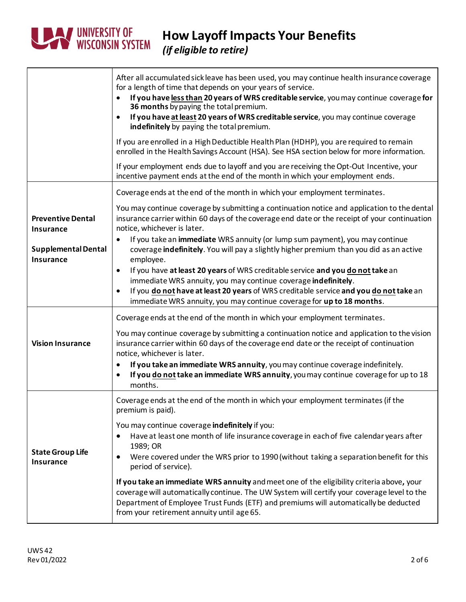

|                                                | After all accumulated sick leave has been used, you may continue health insurance coverage<br>for a length of time that depends on your years of service.<br>If you have less than 20 years of WRS creditable service, you may continue coverage for<br>36 months by paying the total premium.<br>If you have at least 20 years of WRS creditable service, you may continue coverage<br>$\bullet$<br>indefinitely by paying the total premium.                                                                                                                                                                                                                                                                     |
|------------------------------------------------|--------------------------------------------------------------------------------------------------------------------------------------------------------------------------------------------------------------------------------------------------------------------------------------------------------------------------------------------------------------------------------------------------------------------------------------------------------------------------------------------------------------------------------------------------------------------------------------------------------------------------------------------------------------------------------------------------------------------|
|                                                | If you are enrolled in a High Deductible Health Plan (HDHP), you are required to remain<br>enrolled in the Health Savings Account (HSA). See HSA section below for more information.                                                                                                                                                                                                                                                                                                                                                                                                                                                                                                                               |
|                                                | If your employment ends due to layoff and you are receiving the Opt-Out Incentive, your<br>incentive payment ends at the end of the month in which your employment ends.                                                                                                                                                                                                                                                                                                                                                                                                                                                                                                                                           |
|                                                | Coverage ends at the end of the month in which your employment terminates.                                                                                                                                                                                                                                                                                                                                                                                                                                                                                                                                                                                                                                         |
| <b>Preventive Dental</b><br>Insurance          | You may continue coverage by submitting a continuation notice and application to the dental<br>insurance carrier within 60 days of the coverage end date or the receipt of your continuation<br>notice, whichever is later.                                                                                                                                                                                                                                                                                                                                                                                                                                                                                        |
| <b>Supplemental Dental</b><br><b>Insurance</b> | If you take an immediate WRS annuity (or lump sum payment), you may continue<br>$\bullet$<br>coverage indefinitely. You will pay a slightly higher premium than you did as an active<br>employee.                                                                                                                                                                                                                                                                                                                                                                                                                                                                                                                  |
|                                                | If you have at least 20 years of WRS creditable service and you do not take an<br>$\bullet$<br>immediate WRS annuity, you may continue coverage indefinitely.<br>If you do not have at least 20 years of WRS creditable service and you do not take an<br>immediate WRS annuity, you may continue coverage for up to 18 months.                                                                                                                                                                                                                                                                                                                                                                                    |
| <b>Vision Insurance</b>                        | Coverage ends at the end of the month in which your employment terminates.<br>You may continue coverage by submitting a continuation notice and application to the vision<br>insurance carrier within 60 days of the coverage end date or the receipt of continuation<br>notice, whichever is later.<br>If you take an immediate WRS annuity, you may continue coverage indefinitely.<br>$\bullet$<br>If you do not take an immediate WRS annuity, you may continue coverage for up to 18<br>$\bullet$<br>months.                                                                                                                                                                                                  |
| <b>State Group Life</b><br><b>Insurance</b>    | Coverage ends at the end of the month in which your employment terminates (if the<br>premium is paid).<br>You may continue coverage indefinitely if you:<br>Have at least one month of life insurance coverage in each of five calendar years after<br>1989; OR<br>Were covered under the WRS prior to 1990 (without taking a separation benefit for this<br>period of service).<br>If you take an immediate WRS annuity and meet one of the eligibility criteria above, your<br>coverage will automatically continue. The UW System will certify your coverage level to the<br>Department of Employee Trust Funds (ETF) and premiums will automatically be deducted<br>from your retirement annuity until age 65. |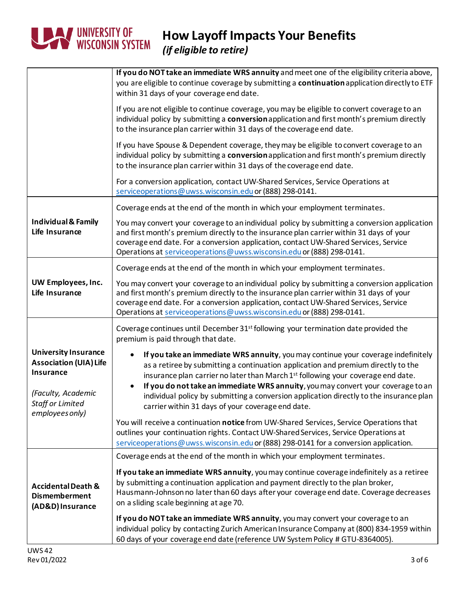

## **How Layoff Impacts Your Benefits**

*(if eligible to retire)*

|                                                                                                                            | If you do NOT take an immediate WRS annuity and meet one of the eligibility criteria above,<br>you are eligible to continue coverage by submitting a continuation application directly to ETF<br>within 31 days of your coverage end date.                                                                                                                                                                                                                                                                 |
|----------------------------------------------------------------------------------------------------------------------------|------------------------------------------------------------------------------------------------------------------------------------------------------------------------------------------------------------------------------------------------------------------------------------------------------------------------------------------------------------------------------------------------------------------------------------------------------------------------------------------------------------|
|                                                                                                                            | If you are not eligible to continue coverage, you may be eligible to convert coverage to an<br>individual policy by submitting a conversion application and first month's premium directly<br>to the insurance plan carrier within 31 days of the coverage end date.                                                                                                                                                                                                                                       |
|                                                                                                                            | If you have Spouse & Dependent coverage, they may be eligible to convert coverage to an<br>individual policy by submitting a conversion application and first month's premium directly<br>to the insurance plan carrier within 31 days of the coverage end date.                                                                                                                                                                                                                                           |
|                                                                                                                            | For a conversion application, contact UW-Shared Services, Service Operations at<br>serviceoperations@uwss.wisconsin.edu or (888) 298-0141.                                                                                                                                                                                                                                                                                                                                                                 |
|                                                                                                                            | Coverage ends at the end of the month in which your employment terminates.                                                                                                                                                                                                                                                                                                                                                                                                                                 |
| <b>Individual &amp; Family</b><br>Life Insurance                                                                           | You may convert your coverage to an individual policy by submitting a conversion application<br>and first month's premium directly to the insurance plan carrier within 31 days of your<br>coverage end date. For a conversion application, contact UW-Shared Services, Service<br>Operations at serviceoperations@uwss.wisconsin.edu or (888) 298-0141.                                                                                                                                                   |
|                                                                                                                            | Coverage ends at the end of the month in which your employment terminates.                                                                                                                                                                                                                                                                                                                                                                                                                                 |
| UW Employees, Inc.<br>Life Insurance                                                                                       | You may convert your coverage to an individual policy by submitting a conversion application<br>and first month's premium directly to the insurance plan carrier within 31 days of your<br>coverage end date. For a conversion application, contact UW-Shared Services, Service<br>Operations at serviceoperations@uwss.wisconsin.edu or (888) 298-0141.                                                                                                                                                   |
|                                                                                                                            | Coverage continues until December 31 <sup>st</sup> following your termination date provided the<br>premium is paid through that date.                                                                                                                                                                                                                                                                                                                                                                      |
| <b>University Insurance</b><br><b>Association (UIA) Life</b><br><b>Insurance</b><br>(Faculty, Academic<br>Staff or Limited | If you take an immediate WRS annuity, you may continue your coverage indefinitely<br>as a retiree by submitting a continuation application and premium directly to the<br>insurance plan carrier no later than March 1 <sup>st</sup> following your coverage end date.<br>If you do not take an immediate WRS annuity, you may convert your coverage to an<br>individual policy by submitting a conversion application directly to the insurance plan<br>carrier within 31 days of your coverage end date. |
| employees only)                                                                                                            | You will receive a continuation notice from UW-Shared Services, Service Operations that<br>outlines your continuation rights. Contact UW-Shared Services, Service Operations at<br>serviceoperations@uwss.wisconsin.edu or (888) 298-0141 for a conversion application.                                                                                                                                                                                                                                    |
|                                                                                                                            | Coverage ends at the end of the month in which your employment terminates.                                                                                                                                                                                                                                                                                                                                                                                                                                 |
| <b>Accidental Death &amp;</b><br><b>Dismemberment</b><br>(AD&D) Insurance                                                  | If you take an immediate WRS annuity, you may continue coverage indefinitely as a retiree<br>by submitting a continuation application and payment directly to the plan broker,<br>Hausmann-Johnson no later than 60 days after your coverage end date. Coverage decreases<br>on a sliding scale beginning at age 70.                                                                                                                                                                                       |
|                                                                                                                            | If you do NOT take an immediate WRS annuity, you may convert your coverage to an<br>individual policy by contacting Zurich American Insurance Company at (800) 834-1959 within<br>60 days of your coverage end date (reference UW System Policy # GTU-8364005).                                                                                                                                                                                                                                            |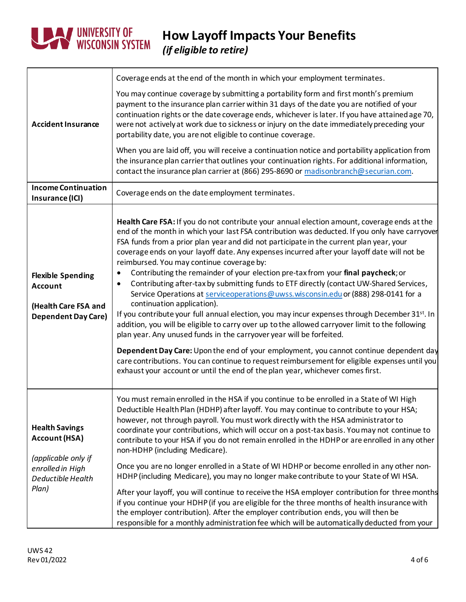

| <b>Accident Insurance</b>                                                                                              | Coverage ends at the end of the month in which your employment terminates.                                                                                                                                                                                                                                                                                                                                                                                                                                                                                                                                                                                                                                                                                                                                                                                                                                                                                                                                                                                                                                                                                                                                                                                                                                                |
|------------------------------------------------------------------------------------------------------------------------|---------------------------------------------------------------------------------------------------------------------------------------------------------------------------------------------------------------------------------------------------------------------------------------------------------------------------------------------------------------------------------------------------------------------------------------------------------------------------------------------------------------------------------------------------------------------------------------------------------------------------------------------------------------------------------------------------------------------------------------------------------------------------------------------------------------------------------------------------------------------------------------------------------------------------------------------------------------------------------------------------------------------------------------------------------------------------------------------------------------------------------------------------------------------------------------------------------------------------------------------------------------------------------------------------------------------------|
|                                                                                                                        | You may continue coverage by submitting a portability form and first month's premium<br>payment to the insurance plan carrier within 31 days of the date you are notified of your<br>continuation rights or the date coverage ends, whichever is later. If you have attained age 70,<br>were not actively at work due to sickness or injury on the date immediately preceding your<br>portability date, you are not eligible to continue coverage.                                                                                                                                                                                                                                                                                                                                                                                                                                                                                                                                                                                                                                                                                                                                                                                                                                                                        |
|                                                                                                                        | When you are laid off, you will receive a continuation notice and portability application from<br>the insurance plan carrier that outlines your continuation rights. For additional information,<br>contact the insurance plan carrier at (866) 295-8690 or madisonbranch@securian.com.                                                                                                                                                                                                                                                                                                                                                                                                                                                                                                                                                                                                                                                                                                                                                                                                                                                                                                                                                                                                                                   |
| <b>Income Continuation</b><br>Insurance (ICI)                                                                          | Coverage ends on the date employment terminates.                                                                                                                                                                                                                                                                                                                                                                                                                                                                                                                                                                                                                                                                                                                                                                                                                                                                                                                                                                                                                                                                                                                                                                                                                                                                          |
| <b>Flexible Spending</b><br><b>Account</b><br>(Health Care FSA and<br><b>Dependent Day Care)</b>                       | Health Care FSA: If you do not contribute your annual election amount, coverage ends at the<br>end of the month in which your last FSA contribution was deducted. If you only have carryover<br>FSA funds from a prior plan year and did not participate in the current plan year, your<br>coverage ends on your layoff date. Any expenses incurred after your layoff date will not be<br>reimbursed. You may continue coverage by:<br>Contributing the remainder of your election pre-tax from your final paycheck; or<br>Contributing after-tax by submitting funds to ETF directly (contact UW-Shared Services,<br>$\bullet$<br>Service Operations at serviceoperations@uwss.wisconsin.edu or (888) 298-0141 for a<br>continuation application).<br>If you contribute your full annual election, you may incur expenses through December 31 <sup>st</sup> . In<br>addition, you will be eligible to carry over up to the allowed carryover limit to the following<br>plan year. Any unused funds in the carryover year will be forfeited.<br>Dependent Day Care: Upon the end of your employment, you cannot continue dependent day<br>care contributions. You can continue to request reimbursement for eligible expenses until you<br>exhaust your account or until the end of the plan year, whichever comes first. |
| <b>Health Savings</b><br><b>Account (HSA)</b><br>(applicable only if<br>enrolled in High<br>Deductible Health<br>Plan) | You must remain enrolled in the HSA if you continue to be enrolled in a State of WI High<br>Deductible Health Plan (HDHP) after layoff. You may continue to contribute to your HSA;<br>however, not through payroll. You must work directly with the HSA administrator to<br>coordinate your contributions, which will occur on a post-tax basis. You may not continue to<br>contribute to your HSA if you do not remain enrolled in the HDHP or are enrolled in any other<br>non-HDHP (including Medicare).<br>Once you are no longer enrolled in a State of WI HDHP or become enrolled in any other non-<br>HDHP (including Medicare), you may no longer make contribute to your State of WI HSA.<br>After your layoff, you will continue to receive the HSA employer contribution for three months<br>if you continue your HDHP (if you are eligible for the three months of health insurance with<br>the employer contribution). After the employer contribution ends, you will then be<br>responsible for a monthly administration fee which will be automatically deducted from your                                                                                                                                                                                                                                |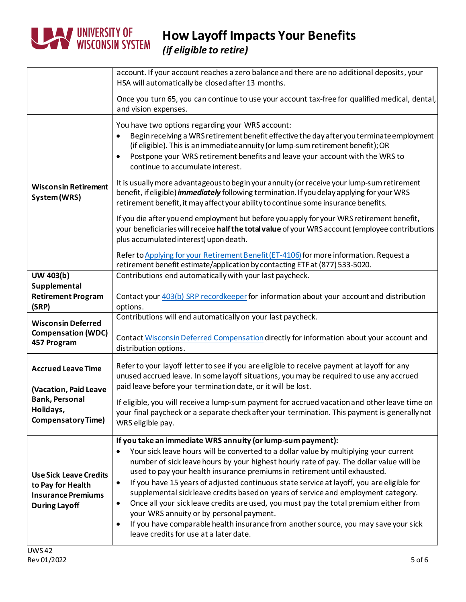

**How Layoff Impacts Your Benefits** *(if eligible to retire)*

|                                                                                                         | account. If your account reaches a zero balance and there are no additional deposits, your<br>HSA will automatically be closed after 13 months.                                                                                                                                                                                                                                                                                                                                                                                                                                                                                                                                                                                                                                                                                          |
|---------------------------------------------------------------------------------------------------------|------------------------------------------------------------------------------------------------------------------------------------------------------------------------------------------------------------------------------------------------------------------------------------------------------------------------------------------------------------------------------------------------------------------------------------------------------------------------------------------------------------------------------------------------------------------------------------------------------------------------------------------------------------------------------------------------------------------------------------------------------------------------------------------------------------------------------------------|
|                                                                                                         | Once you turn 65, you can continue to use your account tax-free for qualified medical, dental,<br>and vision expenses.                                                                                                                                                                                                                                                                                                                                                                                                                                                                                                                                                                                                                                                                                                                   |
|                                                                                                         | You have two options regarding your WRS account:<br>Begin receiving a WRS retirement benefit effective the day after you terminate employment<br>(if eligible). This is an immediate annuity (or lump-sum retirement benefit); OR<br>Postpone your WRS retirement benefits and leave your account with the WRS to<br>$\bullet$<br>continue to accumulate interest.                                                                                                                                                                                                                                                                                                                                                                                                                                                                       |
| <b>Wisconsin Retirement</b><br>System (WRS)                                                             | It is usually more advantageous to begin your annuity (or receive your lump-sum retirement<br>benefit, if eligible) <i>immediately</i> following termination. If you delay applying for your WRS<br>retirement benefit, it may affect your ability to continue some insurance benefits.                                                                                                                                                                                                                                                                                                                                                                                                                                                                                                                                                  |
|                                                                                                         | If you die after you end employment but before you apply for your WRS retirement benefit,<br>your beneficiaries will receive half the total value of your WRS account (employee contributions<br>plus accumulated interest) upon death.                                                                                                                                                                                                                                                                                                                                                                                                                                                                                                                                                                                                  |
|                                                                                                         | Refer to Applying for your Retirement Benefit (ET-4106) for more information. Request a<br>retirement benefit estimate/application by contacting ETF at (877) 533-5020.                                                                                                                                                                                                                                                                                                                                                                                                                                                                                                                                                                                                                                                                  |
| UW 403(b)                                                                                               | Contributions end automatically with your last paycheck.                                                                                                                                                                                                                                                                                                                                                                                                                                                                                                                                                                                                                                                                                                                                                                                 |
| Supplemental<br><b>Retirement Program</b><br>(SRP)                                                      | Contact your 403(b) SRP recordkeeper for information about your account and distribution<br>options.                                                                                                                                                                                                                                                                                                                                                                                                                                                                                                                                                                                                                                                                                                                                     |
| <b>Wisconsin Deferred</b>                                                                               | Contributions will end automatically on your last paycheck.                                                                                                                                                                                                                                                                                                                                                                                                                                                                                                                                                                                                                                                                                                                                                                              |
| <b>Compensation (WDC)</b><br>457 Program                                                                | Contact Wisconsin Deferred Compensation directly for information about your account and<br>distribution options.                                                                                                                                                                                                                                                                                                                                                                                                                                                                                                                                                                                                                                                                                                                         |
| <b>Accrued Leave Time</b><br>(Vacation, Paid Leave                                                      | Refer to your layoff letter to see if you are eligible to receive payment at layoff for any<br>unused accrued leave. In some layoff situations, you may be required to use any accrued<br>paid leave before your termination date, or it will be lost.                                                                                                                                                                                                                                                                                                                                                                                                                                                                                                                                                                                   |
| <b>Bank, Personal</b><br>Holidays,<br><b>Compensatory Time)</b>                                         | If eligible, you will receive a lump-sum payment for accrued vacation and other leave time on<br>your final paycheck or a separate check after your termination. This payment is generally not<br>WRS eligible pay.                                                                                                                                                                                                                                                                                                                                                                                                                                                                                                                                                                                                                      |
| <b>Use Sick Leave Credits</b><br>to Pay for Health<br><b>Insurance Premiums</b><br><b>During Layoff</b> | If you take an immediate WRS annuity (or lump-sum payment):<br>Your sick leave hours will be converted to a dollar value by multiplying your current<br>$\bullet$<br>number of sick leave hours by your highest hourly rate of pay. The dollar value will be<br>used to pay your health insurance premiums in retirement until exhausted.<br>If you have 15 years of adjusted continuous state service at layoff, you are eligible for<br>$\bullet$<br>supplemental sickleave credits based on years of service and employment category.<br>Once all your sick leave credits are used, you must pay the total premium either from<br>$\bullet$<br>your WRS annuity or by personal payment.<br>If you have comparable health insurance from another source, you may save your sick<br>$\bullet$<br>leave credits for use at a later date. |